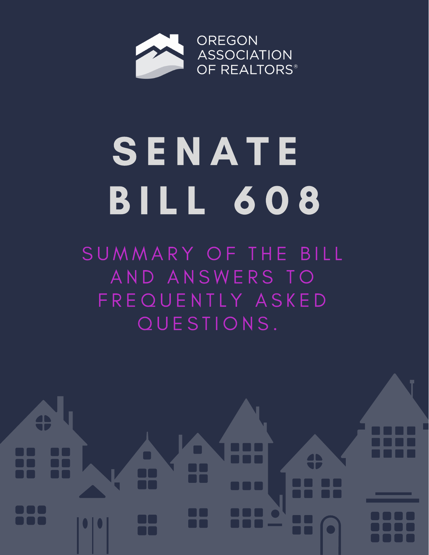

# **SENATE** B I L L 6 0 8

SUMMARY OF THE BILL AND ANSWERS TO FREQUENTLY ASKED QUESTIONS.

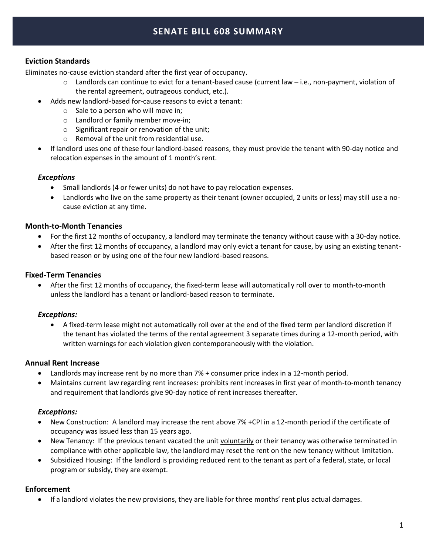# **SENATE BILL 608 SUMMARY**

## **Eviction Standards**

Eliminates no-cause eviction standard after the first year of occupancy.

- $\circ$  Landlords can continue to evict for a tenant-based cause (current law  $-$  i.e., non-payment, violation of the rental agreement, outrageous conduct, etc.).
- Adds new landlord-based for-cause reasons to evict a tenant:
	- $\circ$  Sale to a person who will move in;
	- o Landlord or family member move-in;
	- o Significant repair or renovation of the unit;
	- o Removal of the unit from residential use.
- If landlord uses one of these four landlord-based reasons, they must provide the tenant with 90-day notice and relocation expenses in the amount of 1 month's rent.

### *Exceptions*

- Small landlords (4 or fewer units) do not have to pay relocation expenses.
- Landlords who live on the same property as their tenant (owner occupied, 2 units or less) may still use a nocause eviction at any time.

### **Month-to-Month Tenancies**

- For the first 12 months of occupancy, a landlord may terminate the tenancy without cause with a 30-day notice.
- After the first 12 months of occupancy, a landlord may only evict a tenant for cause, by using an existing tenantbased reason or by using one of the four new landlord-based reasons.

#### **Fixed-Term Tenancies**

• After the first 12 months of occupancy, the fixed-term lease will automatically roll over to month-to-month unless the landlord has a tenant or landlord-based reason to terminate.

#### *Exceptions:*

• A fixed-term lease might not automatically roll over at the end of the fixed term per landlord discretion if the tenant has violated the terms of the rental agreement 3 separate times during a 12-month period, with written warnings for each violation given contemporaneously with the violation.

#### **Annual Rent Increase**

- Landlords may increase rent by no more than 7% + consumer price index in a 12-month period.
- Maintains current law regarding rent increases: prohibits rent increases in first year of month-to-month tenancy and requirement that landlords give 90-day notice of rent increases thereafter.

### *Exceptions:*

- New Construction: A landlord may increase the rent above 7% +CPI in a 12-month period if the certificate of occupancy was issued less than 15 years ago.
- New Tenancy: If the previous tenant vacated the unit voluntarily or their tenancy was otherwise terminated in compliance with other applicable law, the landlord may reset the rent on the new tenancy without limitation.
- Subsidized Housing:If the landlord is providing reduced rent to the tenant as part of a federal, state, or local program or subsidy, they are exempt.

### **Enforcement**

• If a landlord violates the new provisions, they are liable for three months' rent plus actual damages.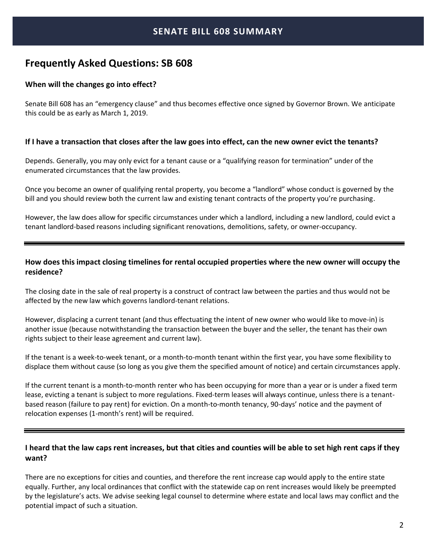# **Frequently Asked Questions: SB 608**

#### **When will the changes go into effect?**

Senate Bill 608 has an "emergency clause" and thus becomes effective once signed by Governor Brown. We anticipate this could be as early as March 1, 2019.

#### **If I have a transaction that closes after the law goes into effect, can the new owner evict the tenants?**

Depends. Generally, you may only evict for a tenant cause or a "qualifying reason for termination" under of the enumerated circumstances that the law provides.

Once you become an owner of qualifying rental property, you become a "landlord" whose conduct is governed by the bill and you should review both the current law and existing tenant contracts of the property you're purchasing.

However, the law does allow for specific circumstances under which a landlord, including a new landlord, could evict a tenant landlord-based reasons including significant renovations, demolitions, safety, or owner-occupancy.

## **How does this impact closing timelines for rental occupied properties where the new owner will occupy the residence?**

The closing date in the sale of real property is a construct of contract law between the parties and thus would not be affected by the new law which governs landlord-tenant relations.

However, displacing a current tenant (and thus effectuating the intent of new owner who would like to move-in) is another issue (because notwithstanding the transaction between the buyer and the seller, the tenant has their own rights subject to their lease agreement and current law).

If the tenant is a week-to-week tenant, or a month-to-month tenant within the first year, you have some flexibility to displace them without cause (so long as you give them the specified amount of notice) and certain circumstances apply.

If the current tenant is a month-to-month renter who has been occupying for more than a year or is under a fixed term lease, evicting a tenant is subject to more regulations. Fixed-term leases will always continue, unless there is a tenantbased reason (failure to pay rent) for eviction. On a month-to-month tenancy, 90-days' notice and the payment of relocation expenses (1-month's rent) will be required.

## **I heard that the law caps rent increases, but that cities and counties will be able to set high rent caps if they want?**

There are no exceptions for cities and counties, and therefore the rent increase cap would apply to the entire state equally. Further, any local ordinances that conflict with the statewide cap on rent increases would likely be preempted by the legislature's acts. We advise seeking legal counsel to determine where estate and local laws may conflict and the potential impact of such a situation.